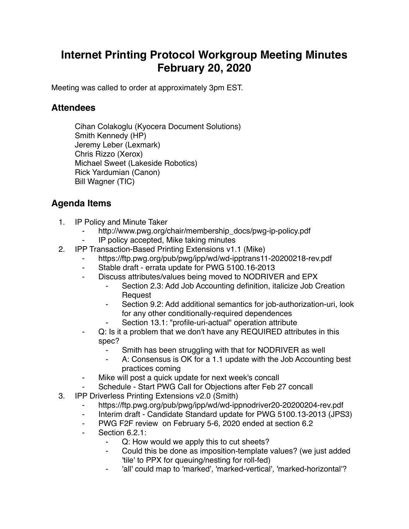## **Internet Printing Protocol Workgroup Meeting Minutes February 20, 2020**

Meeting was called to order at approximately 3pm EST.

## **Attendees**

Cihan Colakoglu (Kyocera Document Solutions) Smith Kennedy (HP) Jeremy Leber (Lexmark) Chris Rizzo (Xerox) Michael Sweet (Lakeside Robotics) Rick Yardumian (Canon) Bill Wagner (TIC)

## **Agenda Items**

- 1. IP Policy and Minute Taker
	- http://www.pwg.org/chair/membership\_docs/pwg-ip-policy.pdf
	- ⁃ IP policy accepted, Mike taking minutes
- 2. IPP Transaction-Based Printing Extensions v1.1 (Mike)
	- https://ftp.pwg.org/pub/pwg/ipp/wd/wd-ipptrans11-20200218-rev.pdf
	- Stable draft errata update for PWG 5100.16-2013
	- ⁃ Discuss attributes/values being moved to NODRIVER and EPX
		- Section 2.3: Add Job Accounting definition, italicize Job Creation Request
		- ⁃ Section 9.2: Add additional semantics for job-authorization-uri, look for any other conditionally-required dependences
		- Section 13.1: "profile-uri-actual" operation attribute
	- Q: Is it a problem that we don't have any REQUIRED attributes in this spec?
		- Smith has been struggling with that for NODRIVER as well
		- A: Consensus is OK for a 1.1 update with the Job Accounting best practices coming
	- Mike will post a quick update for next week's concall
	- Schedule Start PWG Call for Objections after Feb 27 concall
- 3. IPP Driverless Printing Extensions v2.0 (Smith)
	- https://ftp.pwg.org/pub/pwg/ipp/wd/wd-ippnodriver20-20200204-rev.pdf
	- ⁃ Interim draft Candidate Standard update for PWG 5100.13-2013 (JPS3)
	- PWG F2F review on February 5-6, 2020 ended at section 6.2
	- ⁃ Section 6.2.1:
		- Q: How would we apply this to cut sheets?
		- Could this be done as imposition-template values? (we just added 'tile' to PPX for queuing/nesting for roll-fed)
		- ⁃ 'all' could map to 'marked', 'marked-vertical', 'marked-horizontal'?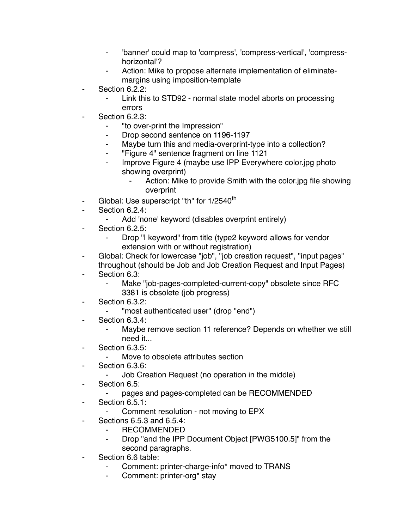- ⁃ 'banner' could map to 'compress', 'compress-vertical', 'compresshorizontal'?
- Action: Mike to propose alternate implementation of eliminatemargins using imposition-template
- ⁃ Section 6.2.2:
	- Link this to STD92 normal state model aborts on processing errors
- Section 6.2.3:
	- ⁃ "to over-print the Impression"
	- ⁃ Drop second sentence on 1196-1197
	- ⁃ Maybe turn this and media-overprint-type into a collection?
	- ⁃ "Figure 4" sentence fragment on line 1121
	- Improve Figure 4 (maybe use IPP Everywhere color.jpg photo showing overprint)
		- Action: Mike to provide Smith with the color.jpg file showing overprint
- Global: Use superscript "th" for 1/2540<sup>th</sup>
- Section 6.2.4:
	- Add 'none' keyword (disables overprint entirely)
- Section 6.2.5:
	- Drop "I keyword" from title (type2 keyword allows for vendor extension with or without registration)
- Global: Check for lowercase "job", "job creation request", "input pages" throughout (should be Job and Job Creation Request and Input Pages)
- Section 6.3:
	- Make "job-pages-completed-current-copy" obsolete since RFC 3381 is obsolete (job progress)
- ⁃ Section 6.3.2:
	- ⁃ "most authenticated user" (drop "end")
- Section 6.3.4:
	- ⁃ Maybe remove section 11 reference? Depends on whether we still need it...
- Section 6.3.5:
	- Move to obsolete attributes section
- ⁃ Section 6.3.6:
	- Job Creation Request (no operation in the middle)
- Section 6.5:
	- ⁃ pages and pages-completed can be RECOMMENDED
- Section 6.5.1:
	- Comment resolution not moving to EPX
- ⁃ Sections 6.5.3 and 6.5.4:
	- **RECOMMENDED**
	- ⁃ Drop "and the IPP Document Object [PWG5100.5]" from the second paragraphs.
- ⁃ Section 6.6 table:
	- ⁃ Comment: printer-charge-info\* moved to TRANS
	- ⁃ Comment: printer-org\* stay